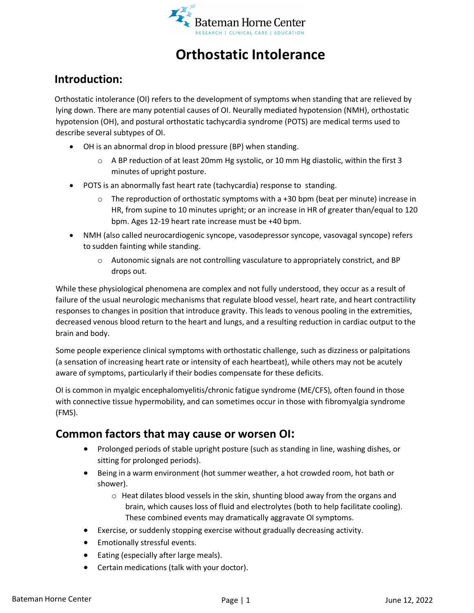

# **Orthostatic Intolerance**

## **Introduction:**

Orthostatic intolerance (OI) refers to the development of symptoms when standing that are relieved by lying down. There are many potential causes of OI. Neurally mediated hypotension (NMH), orthostatic hypotension (OH), and postural orthostatic tachycardia syndrome (POTS) are medical terms used to describe several subtypes of OI.

- OH is an abnormal drop in blood pressure (BP) when standing.
	- $\circ$  A BP reduction of at least 20mm Hg systolic, or 10 mm Hg diastolic, within the first 3 minutes of upright posture.
- POTS is an abnormally fast heart rate (tachycardia) response to standing.
	- $\circ$  The reproduction of orthostatic symptoms with a +30 bpm (beat per minute) increase in HR, from supine to 10 minutes upright; or an increase in HR of greater than/equal to 120 bpm. Ages 12-19 heart rate increase must be +40 bpm.
- NMH (also called neurocardiogenic syncope, vasodepressor syncope, vasovagal syncope) refers to sudden fainting while standing.
	- $\circ$  Autonomic signals are not controlling vasculature to appropriately constrict, and BP drops out.

While these physiological phenomena are complex and not fully understood, they occur as a result of failure of the usual neurologic mechanisms that regulate blood vessel, heart rate, and heart contractility responses to changes in position that introduce gravity. This leads to venous pooling in the extremities, decreased venous blood return to the heart and lungs, and a resulting reduction in cardiac output to the brain and body.

Some people experience clinical symptoms with orthostatic challenge, such as dizziness or palpitations (a sensation of increasing heart rate or intensity of each heartbeat), while others may not be acutely aware of symptoms, particularly if their bodies compensate for these deficits.

OI is common in myalgic encephalomyelitis/chronic fatigue syndrome (ME/CFS), often found in those with connective tissue hypermobility, and can sometimes occur in those with fibromyalgia syndrome (FMS).

# **Common factors that may cause or worsen OI:**

- Prolonged periods of stable upright posture (such as standing in line, washing dishes, or sitting for prolonged periods).
- Being in a warm environment (hot summer weather, a hot crowded room, hot bath or shower).
	- o Heat dilates blood vessels in the skin, shunting blood away from the organs and brain, which causes loss of fluid and electrolytes (both to help facilitate cooling). These combined events may dramatically aggravate OI symptoms.
- Exercise, orsuddenly stopping exercise without gradually decreasing activity.
- Emotionally stressful events.
- Eating (especially after large meals).
- Certain medications (talk with your doctor).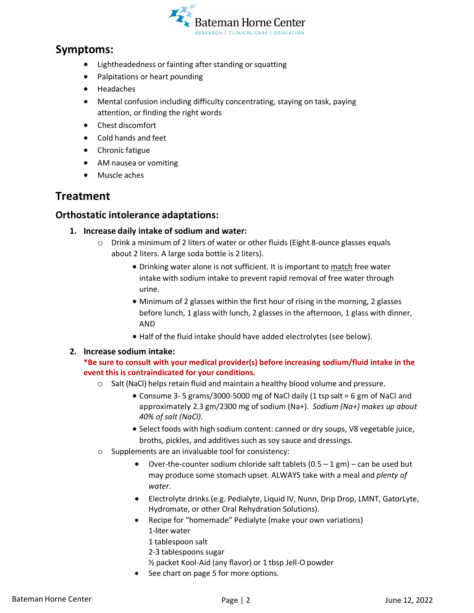

### **Symptoms:**

- Lightheadedness or fainting after standing or squatting
- Palpitations or heart pounding
- Headaches
- Mental confusion including difficulty concentrating, staying on task, paying attention, or finding the right words
- Chest discomfort
- Cold hands and feet
- Chronic fatigue
- AM nausea or vomiting
- Muscle aches

### **Treatment**

#### **Orthostatic intolerance adaptations:**

- **1. Increase daily intake of sodium and water:**
	- o Drink a minimum of 2 liters of water or other fluids (Eight 8-ounce glasses equals about 2 liters. A large soda bottle is 2 liters).
		- Drinking water alone is not sufficient. It is important to match free water intake with sodium intake to prevent rapid removal of free water through urine.
		- Minimum of 2 glasses within the first hour of rising in the morning, 2 glasses before lunch, 1 glass with lunch, 2 glasses in the afternoon, 1 glass with dinner, AND
		- Half of the fluid intake should have added electrolytes (see below).

#### **2. Increase sodium intake:**

#### **\*Be sure to consult with your medical provider(s) before increasing sodium/fluid intake in the event this is contraindicated for your conditions.**

- $\circ$  Salt (NaCl) helps retain fluid and maintain a healthy blood volume and pressure.
	- Consume 3- 5 grams/3000-5000 mg of NaCl daily (1 tsp salt = 6 gm of NaCl and approximately 2.3 gm/2300 mg of sodium (Na+). *Sodium (Na+) makes up about 40% of salt (NaCl).*
	- Select foods with high sodium content: canned or dry soups, V8 vegetable juice, broths, pickles, and additives such as soy sauce and dressings.
- o Supplements are an invaluable tool for consistency:
	- Over-the-counter sodium chloride salt tablets  $(0.5 1 \text{ gm})$  can be used but may produce some stomach upset. ALWAYS take with a meal and *plenty of water.*
	- Electrolyte drinks (e.g. Pedialyte, Liquid IV, Nunn, Drip Drop, LMNT, GatorLyte, Hydromate, or other Oral Rehydration Solutions).
	- Recipe for "homemade" Pedialyte (make your own variations) 1-liter water
		- 1 tablespoon salt
		- 2-3 tablespoons sugar
		- ½ packet Kool-Aid (any flavor) or 1 tbsp Jell-O powder
	- See chart on page 5 for more options.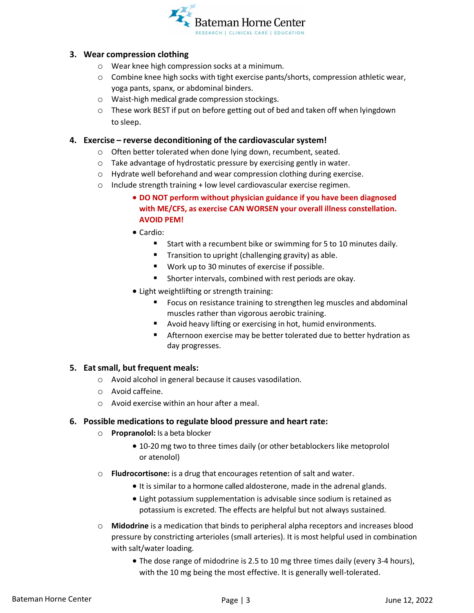

#### **3. Wear compression clothing**

- o Wear knee high compression socks at a minimum.
- o Combine knee high socks with tight exercise pants/shorts, compression athletic wear, yoga pants, spanx, or abdominal binders.
- o Waist-high medical grade compression stockings.
- $\circ$  These work BEST if put on before getting out of bed and taken off when lyingdown to sleep.

#### **4. Exercise – reverse deconditioning of the cardiovascular system!**

- o Often better tolerated when done lying down, recumbent, seated.
- $\circ$  Take advantage of hydrostatic pressure by exercising gently in water.
- o Hydrate well beforehand and wear compression clothing during exercise.
- o Include strength training + low level cardiovascular exercise regimen.
	- **DO NOT perform without physician guidance if you have been diagnosed with ME/CFS, as exercise CAN WORSEN your overall illness constellation. AVOID PEM!**
	- Cardio:
		- Start with a recumbent bike or swimming for 5 to 10 minutes daily.
		- **Transition to upright (challenging gravity) as able.**
		- Work up to 30 minutes of exercise if possible.
		- Shorter intervals, combined with rest periods are okay.
	- Light weightlifting or strength training:
		- **Figure 1** Focus on resistance training to strengthen leg muscles and abdominal muscles rather than vigorous aerobic training.
		- Avoid heavy lifting or exercising in hot, humid environments.
		- Afternoon exercise may be better tolerated due to better hydration as day progresses.

#### **5. Eatsmall, but frequent meals:**

- o Avoid alcohol in general because it causes vasodilation.
- o Avoid caffeine.
- o Avoid exercise within an hour after a meal.

#### **6. Possible medications to regulate blood pressure and heart rate:**

- o **Propranolol:** Is a beta blocker
	- 10-20 mg two to three times daily (or other betablockers like metoprolol or atenolol)
- o **Fludrocortisone:** is a drug that encourages retention of salt and water.
	- It is similar to a hormone called aldosterone, made in the adrenal glands.
	- Light potassium supplementation is advisable since sodium is retained as potassium is excreted. The effects are helpful but not always sustained.
- o **Midodrine** is a medication that binds to peripheral alpha receptors and increases blood pressure by constricting arterioles (small arteries). It is most helpful used in combination with salt/water loading.
	- The dose range of midodrine is 2.5 to 10 mg three times daily (every 3-4 hours), with the 10 mg being the most effective. It is generally well-tolerated.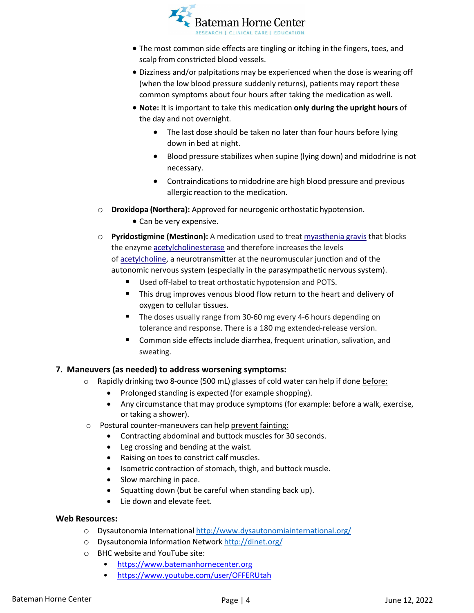

- The most common side effects are tingling or itching in the fingers, toes, and scalp from constricted blood vessels.
- Dizziness and/or palpitations may be experienced when the dose is wearing off (when the low blood pressure suddenly returns), patients may report these common symptoms about four hours after taking the medication as well.
- **Note:** It is important to take this medication **only during the upright hours** of the day and not overnight.
	- The last dose should be taken no later than four hours before lying down in bed at night.
	- Blood pressure stabilizes when supine (lying down) and midodrine is not necessary.
	- Contraindications to midodrine are high blood pressure and previous allergic reaction to the medication.
- o **Droxidopa (Northera):** Approved for neurogenic orthostatic hypotension.
	- Can be very expensive.
- o **Pyridostigmine (Mestinon):** A medication used to treat [myasthenia gravis](https://en.wikipedia.org/wiki/Myasthenia_gravis) that blocks the enzyme [acetylcholinesterase](https://en.wikipedia.org/wiki/Acetylcholinesterase) and therefore increases the levels o[f acetylcholine,](https://en.wikipedia.org/wiki/Acetylcholine) a neurotransmitter at the neuromuscular junction and of the autonomic nervous system (especially in the parasympathetic nervous system).
	- Used off-label to treat orthostatic hypotension and POTS.
	- **This drug improves venous blood flow return to the heart and delivery of** oxygen to cellular tissues.
	- The doses usually range from 30-60 mg every 4-6 hours depending on tolerance and response. There is a 180 mg extended-release version.
	- **E** Common side effects include diarrhea, frequent urination, salivation, and sweating.

#### **7. Maneuvers (as needed) to address worsening symptoms:**

- $\circ$  Rapidly drinking two 8-ounce (500 mL) glasses of cold water can help if done before:
	- Prolonged standing is expected (for example shopping).
	- Any circumstance that may produce symptoms (for example: before a walk, exercise, or taking a shower).
- o Postural counter-maneuvers can help prevent fainting:
	- Contracting abdominal and buttock muscles for 30 seconds.
	- Leg crossing and bending at the waist.
	- Raising on toes to constrict calf muscles.
	- Isometric contraction of stomach, thigh, and buttock muscle.
	- Slow marching in pace.
	- Squatting down (but be careful when standing back up).
	- Lie down and elevate feet.

#### **Web Resources:**

- o Dysautonomia International <http://www.dysautonomiainternational.org/>
- o Dysautonomia Information Network <http://dinet.org/>
- o BHC website and YouTube site:
	- [https://www.batemanhornecenter.org](https://www.batemanhornecenter.org/)
	- <https://www.youtube.com/user/OFFERUtah>